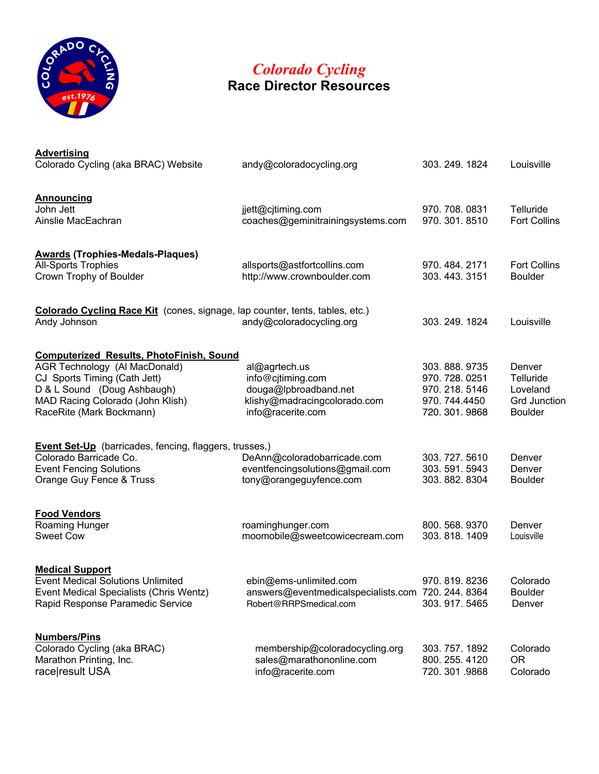

## **RESOURCES** *Colorado Cycling* **Race Director Resources**

| <b>Advertising</b><br>Colorado Cycling (aka BRAC) Website                                                                                                                                                       | andy@coloradocycling.org                                                                                         | 303. 249. 1824                                                                 | Louisville                                                               |
|-----------------------------------------------------------------------------------------------------------------------------------------------------------------------------------------------------------------|------------------------------------------------------------------------------------------------------------------|--------------------------------------------------------------------------------|--------------------------------------------------------------------------|
| <b>Announcing</b><br>John Jett<br>Ainslie MacEachran                                                                                                                                                            | jjett@cjtiming.com<br>coaches@geminitrainingsystems.com                                                          | 970.708.0831<br>970. 301. 8510                                                 | Telluride<br><b>Fort Collins</b>                                         |
| <b>Awards (Trophies-Medals-Plaques)</b><br>All-Sports Trophies<br>Crown Trophy of Boulder                                                                                                                       | allsports@astfortcollins.com<br>http://www.crownboulder.com                                                      | 970.484.2171<br>303, 443, 3151                                                 | <b>Fort Collins</b><br><b>Boulder</b>                                    |
| Colorado Cycling Race Kit (cones, signage, lap counter, tents, tables, etc.)<br>Andy Johnson                                                                                                                    | andy@coloradocycling.org                                                                                         | 303. 249. 1824                                                                 | Louisville                                                               |
| <b>Computerized Results, PhotoFinish, Sound</b><br>AGR Technology (Al MacDonald)<br>CJ Sports Timing (Cath Jett)<br>D & L Sound (Doug Ashbaugh)<br>MAD Racing Colorado (John Klish)<br>RaceRite (Mark Bockmann) | al@agrtech.us<br>info@cjtiming.com<br>douga@lpbroadband.net<br>klishy@madracingcolorado.com<br>info@racerite.com | 303.888.9735<br>970. 728. 0251<br>970.218.5146<br>970.744.4450<br>720.301.9868 | Denver<br>Telluride<br>Loveland<br><b>Grd Junction</b><br><b>Boulder</b> |
| <b>Event Set-Up</b> (barricades, fencing, flaggers, trusses,)<br>Colorado Barricade Co.<br><b>Event Fencing Solutions</b><br>Orange Guy Fence & Truss                                                           | DeAnn@coloradobarricade.com<br>eventfencingsolutions@gmail.com<br>tony@orangeguyfence.com                        | 303.727.5610<br>303.591.5943<br>303.882.8304                                   | Denver<br>Denver<br><b>Boulder</b>                                       |
| <b>Food Vendors</b><br>Roaming Hunger<br><b>Sweet Cow</b>                                                                                                                                                       | roaminghunger.com<br>moomobile@sweetcowicecream.com                                                              | 800.568.9370<br>303.818.1409                                                   | Denver<br>Louisville                                                     |
| <b>Medical Support</b><br>Event Medical Solutions Unlimited<br>Event Medical Specialists (Chris Wentz)<br>Rapid Response Paramedic Service                                                                      | ebin@ems-unlimited.com<br>answers@eventmedicalspecialists.com 720. 244. 8364<br>Robert@RRPSmedical.com           | 970.819.8236<br>303.917.5465                                                   | Colorado<br><b>Boulder</b><br>Denver                                     |
| <b>Numbers/Pins</b><br>Colorado Cycling (aka BRAC)<br>Marathon Printing, Inc.<br>race result USA                                                                                                                | membership@coloradocycling.org<br>sales@marathononline.com<br>info@racerite.com                                  | 303.757.1892<br>800. 255. 4120<br>720.301.9868                                 | Colorado<br><b>OR</b><br>Colorado                                        |